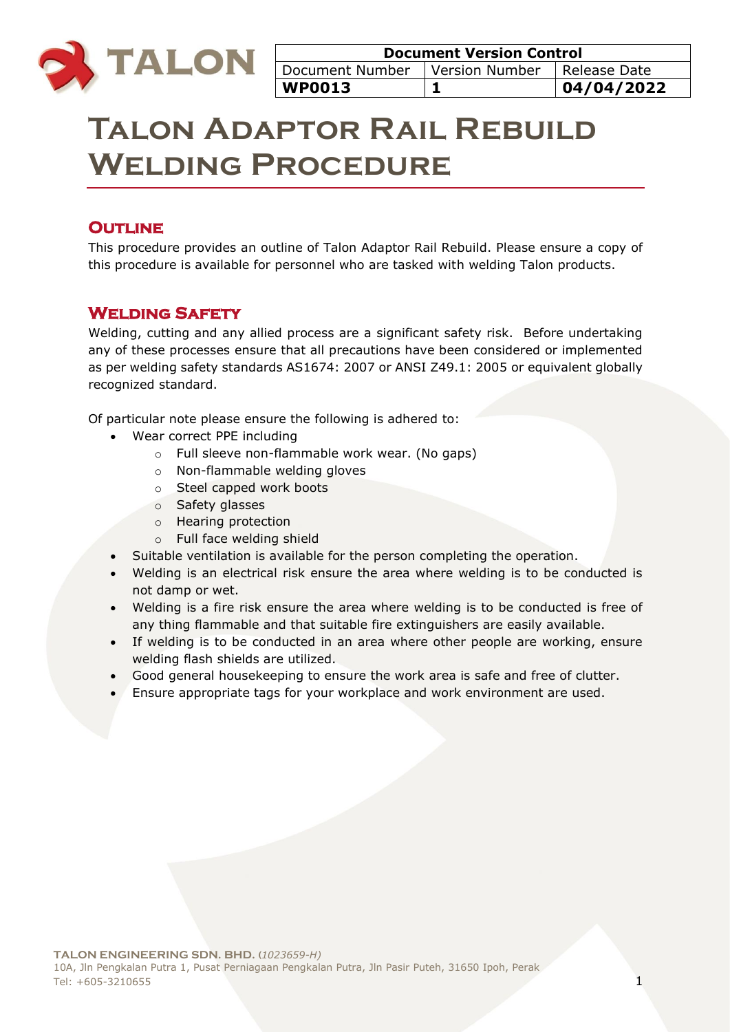

# **Talon Adaptor Rail Rebuild Welding Procedure**

# **OUTLINE**

This procedure provides an outline of Talon Adaptor Rail Rebuild. Please ensure a copy of this procedure is available for personnel who are tasked with welding Talon products.

# **Welding Safety**

Welding, cutting and any allied process are a significant safety risk. Before undertaking any of these processes ensure that all precautions have been considered or implemented as per welding safety standards AS1674: 2007 or ANSI Z49.1: 2005 or equivalent globally recognized standard.

Of particular note please ensure the following is adhered to:

- Wear correct PPE including
	- o Full sleeve non-flammable work wear. (No gaps)
	- o Non-flammable welding gloves
	- o Steel capped work boots
	- o Safety glasses
	- o Hearing protection
	- o Full face welding shield
- Suitable ventilation is available for the person completing the operation.
- Welding is an electrical risk ensure the area where welding is to be conducted is not damp or wet.
- Welding is a fire risk ensure the area where welding is to be conducted is free of any thing flammable and that suitable fire extinguishers are easily available.
- If welding is to be conducted in an area where other people are working, ensure welding flash shields are utilized.
- Good general housekeeping to ensure the work area is safe and free of clutter.
- Ensure appropriate tags for your workplace and work environment are used.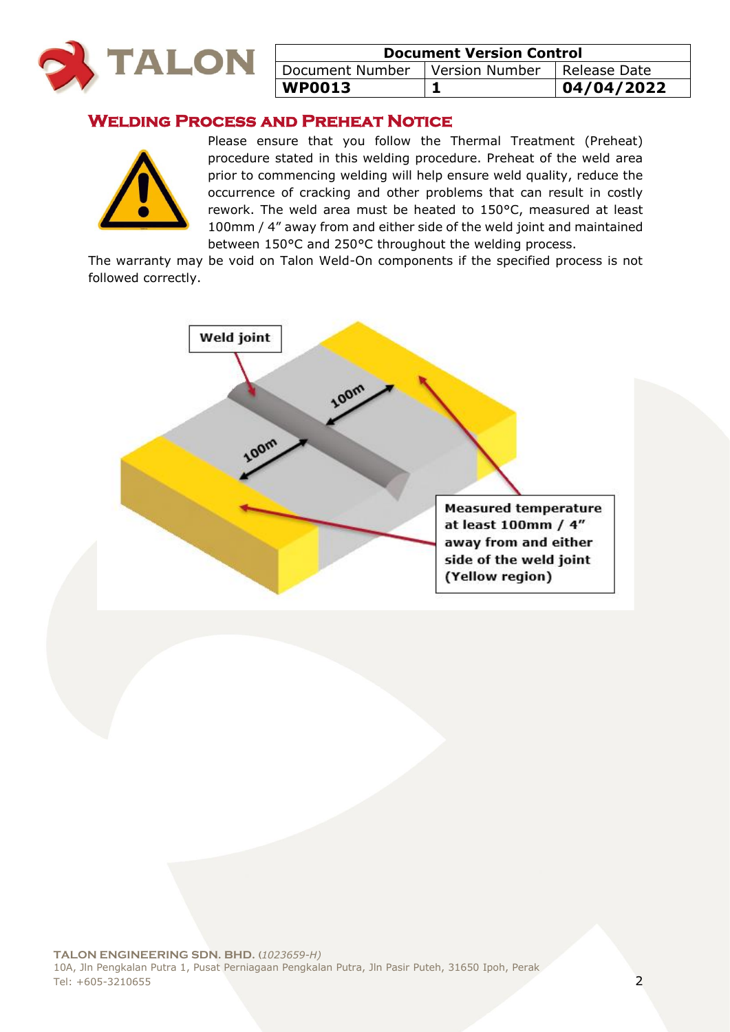

| <b>Document Version Control</b>  |  |              |
|----------------------------------|--|--------------|
| Document Number   Version Number |  | Release Date |
| <b>WP0013</b>                    |  | 04/04/2022   |

# **Welding Process and Preheat Notice**



Please ensure that you follow the Thermal Treatment (Preheat) procedure stated in this welding procedure. Preheat of the weld area prior to commencing welding will help ensure weld quality, reduce the occurrence of cracking and other problems that can result in costly rework. The weld area must be heated to 150°C, measured at least 100mm / 4" away from and either side of the weld joint and maintained between 150°C and 250°C throughout the welding process.

The warranty may be void on Talon Weld-On components if the specified process is not followed correctly.

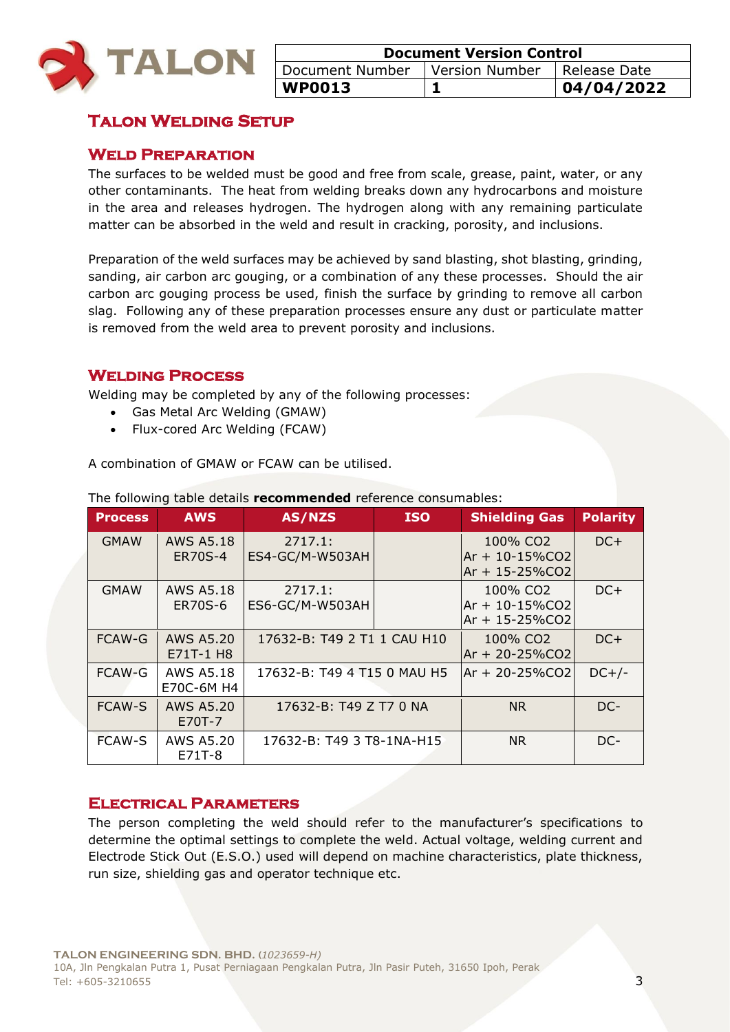

| <b>Document Version Control</b> |                               |             |
|---------------------------------|-------------------------------|-------------|
| Document Number                 | Version Number   Release Date |             |
| <b>WP0013</b>                   |                               | 104/04/2022 |

# **Talon Welding Setup**

# **Weld Preparation**

The surfaces to be welded must be good and free from scale, grease, paint, water, or any other contaminants. The heat from welding breaks down any hydrocarbons and moisture in the area and releases hydrogen. The hydrogen along with any remaining particulate matter can be absorbed in the weld and result in cracking, porosity, and inclusions.

Preparation of the weld surfaces may be achieved by sand blasting, shot blasting, grinding, sanding, air carbon arc gouging, or a combination of any these processes. Should the air carbon arc gouging process be used, finish the surface by grinding to remove all carbon slag. Following any of these preparation processes ensure any dust or particulate matter is removed from the weld area to prevent porosity and inclusions.

# **Welding Process**

Welding may be completed by any of the following processes:

- Gas Metal Arc Welding (GMAW)
- Flux-cored Arc Welding (FCAW)

A combination of GMAW or FCAW can be utilised.

| <b>Process</b> | <b>AWS</b>                         | AS/NZS                      | <b>ISO</b> | <b>Shielding Gas</b>                                               | <b>Polarity</b> |
|----------------|------------------------------------|-----------------------------|------------|--------------------------------------------------------------------|-----------------|
| <b>GMAW</b>    | <b>AWS A5.18</b><br><b>ER70S-4</b> | 2717.1:<br>ES4-GC/M-W503AH  |            | 100% CO <sub>2</sub><br>$Ar + 10 - 15\%CO2$<br>Ar + 15-25%CO2      | $DC+$           |
| <b>GMAW</b>    | <b>AWS A5.18</b><br><b>ER70S-6</b> | 2717.1:<br>ES6-GC/M-W503AH  |            | 100% CO <sub>2</sub><br>$Ar + 10 - 15\%CO2$<br>$Ar + 15 - 25\%CO2$ | $DC+$           |
| <b>FCAW-G</b>  | AWS A5.20<br>E71T-1 H8             | 17632-B: T49 2 T1 1 CAU H10 |            | 100% CO <sub>2</sub><br>Ar + 20-25%CO2                             | $DC+$           |
| FCAW-G         | <b>AWS A5.18</b><br>E70C-6M H4     | 17632-B: T49 4 T15 0 MAU H5 |            | Ar + 20-25%CO2                                                     | $DC+/-$         |
| <b>FCAW-S</b>  | <b>AWS A5.20</b><br>E70T-7         | 17632-B: T49 Z T7 0 NA      |            | <b>NR</b>                                                          | DC-             |
| <b>FCAW-S</b>  | AWS A5.20<br>E71T-8                | 17632-B: T49 3 T8-1NA-H15   |            | <b>NR</b>                                                          | DC-             |

The following table details **recommended** reference consumables:

# **Electrical Parameters**

The person completing the weld should refer to the manufacturer's specifications to determine the optimal settings to complete the weld. Actual voltage, welding current and Electrode Stick Out (E.S.O.) used will depend on machine characteristics, plate thickness, run size, shielding gas and operator technique etc.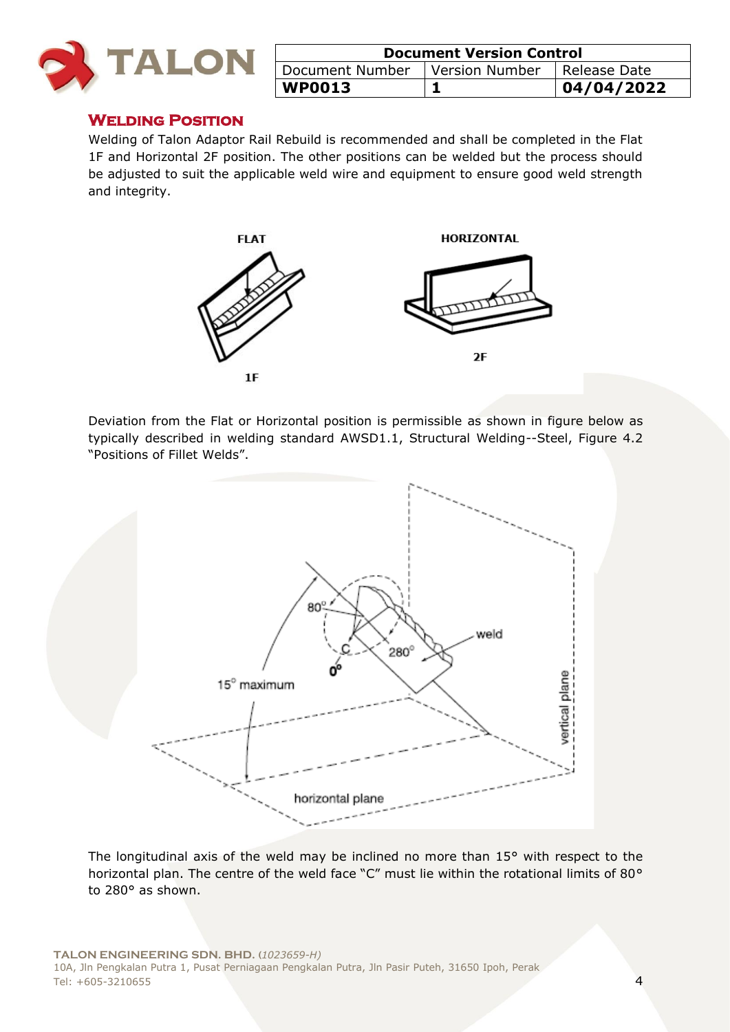

| <b>Document Version Control</b>                 |  |            |
|-------------------------------------------------|--|------------|
| Document Number   Version Number   Release Date |  |            |
| <b>WP0013</b>                                   |  | 04/04/2022 |

# **Welding Position**

Welding of Talon Adaptor Rail Rebuild is recommended and shall be completed in the Flat 1F and Horizontal 2F position. The other positions can be welded but the process should be adjusted to suit the applicable weld wire and equipment to ensure good weld strength and integrity.



Deviation from the Flat or Horizontal position is permissible as shown in figure below as typically described in welding standard AWSD1.1, Structural Welding--Steel, Figure 4.2 "Positions of Fillet Welds".



The longitudinal axis of the weld may be inclined no more than 15° with respect to the horizontal plan. The centre of the weld face "C" must lie within the rotational limits of 80° to 280° as shown.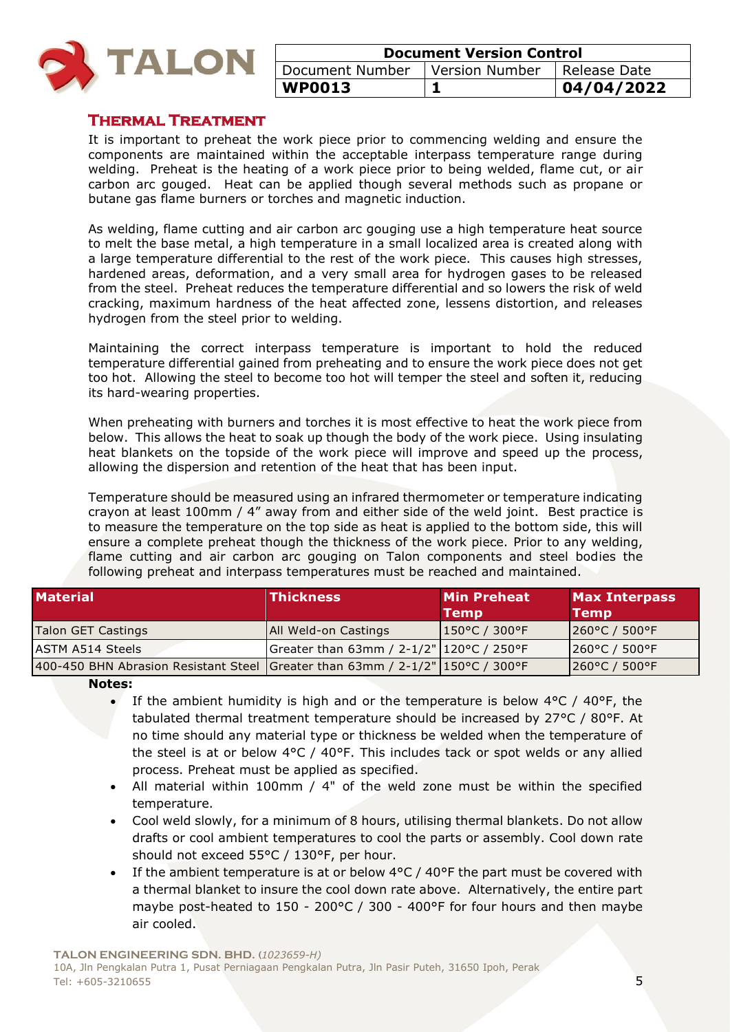

| <b>Document Version Control</b>                 |  |            |
|-------------------------------------------------|--|------------|
| Document Number   Version Number   Release Date |  |            |
| <b>WP0013</b>                                   |  | 04/04/2022 |

# **Thermal Treatment**

It is important to preheat the work piece prior to commencing welding and ensure the components are maintained within the acceptable interpass temperature range during welding. Preheat is the heating of a work piece prior to being welded, flame cut, or air carbon arc gouged. Heat can be applied though several methods such as propane or butane gas flame burners or torches and magnetic induction.

As welding, flame cutting and air carbon arc gouging use a high temperature heat source to melt the base metal, a high temperature in a small localized area is created along with a large temperature differential to the rest of the work piece. This causes high stresses, hardened areas, deformation, and a very small area for hydrogen gases to be released from the steel. Preheat reduces the temperature differential and so lowers the risk of weld cracking, maximum hardness of the heat affected zone, lessens distortion, and releases hydrogen from the steel prior to welding.

Maintaining the correct interpass temperature is important to hold the reduced temperature differential gained from preheating and to ensure the work piece does not get too hot. Allowing the steel to become too hot will temper the steel and soften it, reducing its hard-wearing properties.

When preheating with burners and torches it is most effective to heat the work piece from below. This allows the heat to soak up though the body of the work piece. Using insulating heat blankets on the topside of the work piece will improve and speed up the process, allowing the dispersion and retention of the heat that has been input.

Temperature should be measured using an infrared thermometer or temperature indicating crayon at least 100mm / 4" away from and either side of the weld joint. Best practice is to measure the temperature on the top side as heat is applied to the bottom side, this will ensure a complete preheat though the thickness of the work piece. Prior to any welding, flame cutting and air carbon arc gouging on Talon components and steel bodies the following preheat and interpass temperatures must be reached and maintained.

| <b>Material</b>                                                                  | <b>Thickness</b>                             | <b>Min Preheat</b><br>Temp | <b>Max Interpass</b><br><b>Temp</b> |
|----------------------------------------------------------------------------------|----------------------------------------------|----------------------------|-------------------------------------|
| Talon GET Castings                                                               | <b>All Weld-on Castings</b>                  | $ 150^{\circ}$ C / 300°F   | $ 260^{\circ}$ C / 500°F            |
| ASTM A514 Steels                                                                 | Greater than 63mm / 2-1/2"   120 °C / 250 °F |                            | $1260^{\circ}$ C / 500 $^{\circ}$ F |
| 400-450 BHN Abrasion Resistant Steel Greater than 63mm / $2-1/2$ " 150°C / 300°F |                                              |                            | 260°C / 500°F                       |

**Notes:** 

- If the ambient humidity is high and or the temperature is below  $4^{\circ}$ C /  $40^{\circ}$ F, the tabulated thermal treatment temperature should be increased by 27°C / 80°F. At no time should any material type or thickness be welded when the temperature of the steel is at or below  $4^{\circ}C$  /  $40^{\circ}F$ . This includes tack or spot welds or any allied process. Preheat must be applied as specified.
- All material within 100mm / 4" of the weld zone must be within the specified temperature.
- Cool weld slowly, for a minimum of 8 hours, utilising thermal blankets. Do not allow drafts or cool ambient temperatures to cool the parts or assembly. Cool down rate should not exceed 55°C / 130°F, per hour.
- If the ambient temperature is at or below 4°C / 40°F the part must be covered with a thermal blanket to insure the cool down rate above. Alternatively, the entire part maybe post-heated to 150 - 200°C / 300 - 400°F for four hours and then maybe air cooled.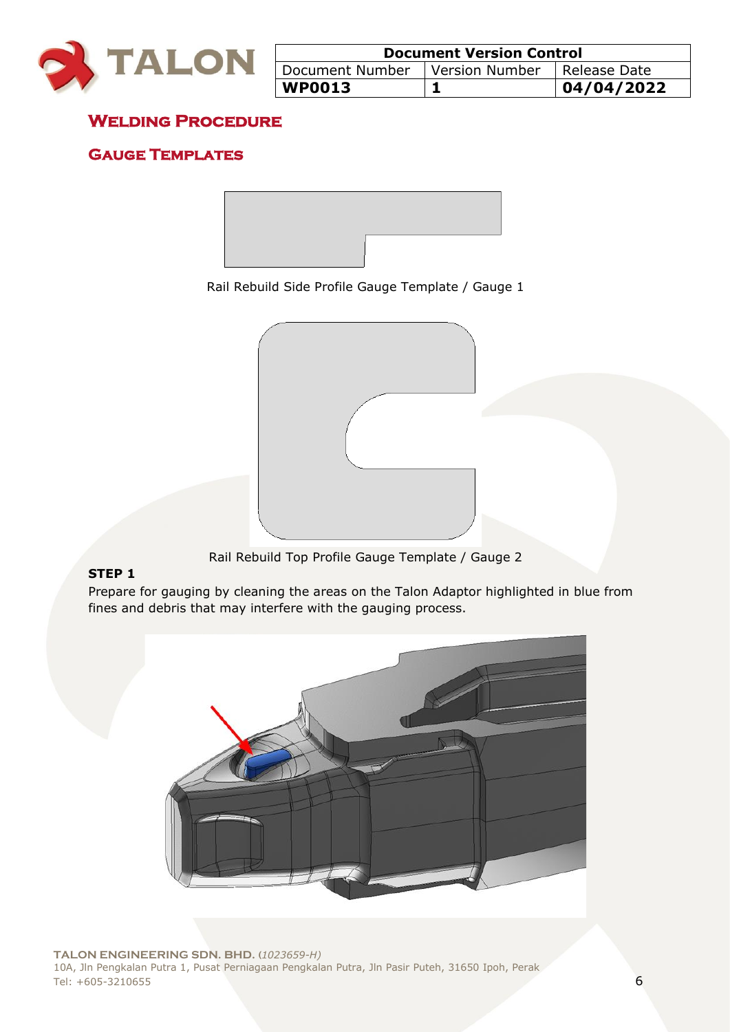

| <b>Document Version Control</b>  |  |              |
|----------------------------------|--|--------------|
| Document Number   Version Number |  | Release Date |
| $ $ WP0013                       |  | 104/04/2022  |

# **Welding Procedure**

# **Gauge Templates**



Rail Rebuild Side Profile Gauge Template / Gauge 1



Rail Rebuild Top Profile Gauge Template / Gauge 2

### **STEP 1**

Prepare for gauging by cleaning the areas on the Talon Adaptor highlighted in blue from fines and debris that may interfere with the gauging process.

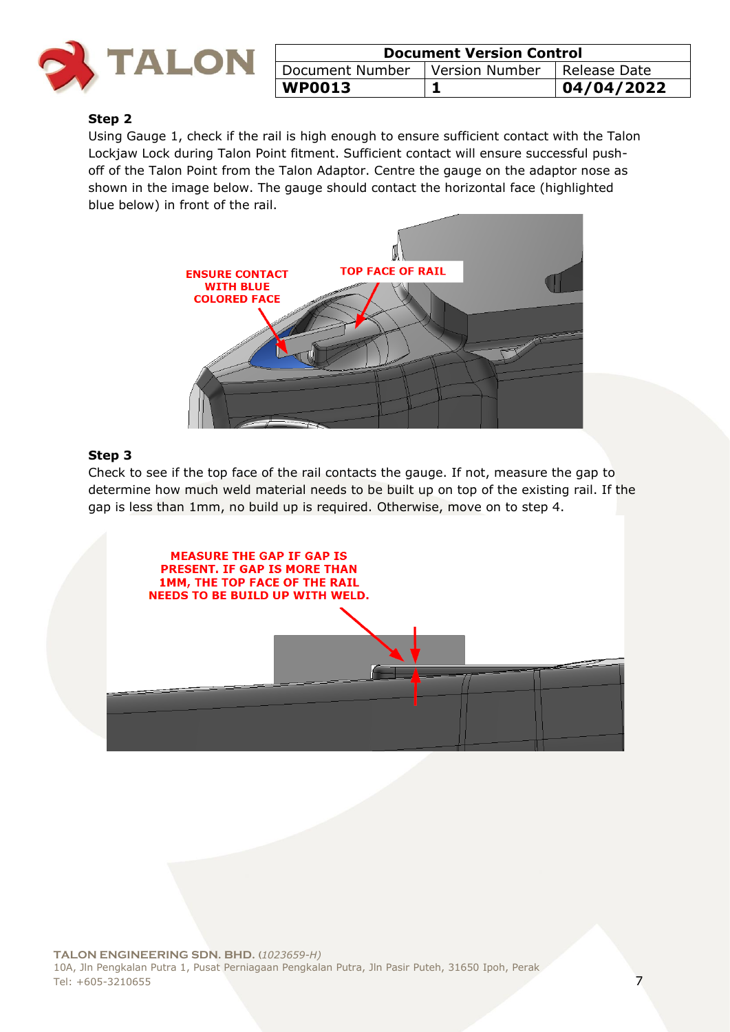

| <b>Document Version Control</b> |                  |              |
|---------------------------------|------------------|--------------|
| Document Number                 | l Version Number | Release Date |
| <b>WP0013</b>                   |                  | 04/04/2022   |

#### **Step 2**

Using Gauge 1, check if the rail is high enough to ensure sufficient contact with the Talon Lockjaw Lock during Talon Point fitment. Sufficient contact will ensure successful pushoff of the Talon Point from the Talon Adaptor. Centre the gauge on the adaptor nose as shown in the image below. The gauge should contact the horizontal face (highlighted blue below) in front of the rail.



#### **Step 3**

Check to see if the top face of the rail contacts the gauge. If not, measure the gap to determine how much weld material needs to be built up on top of the existing rail. If the gap is less than 1mm, no build up is required. Otherwise, move on to step 4.

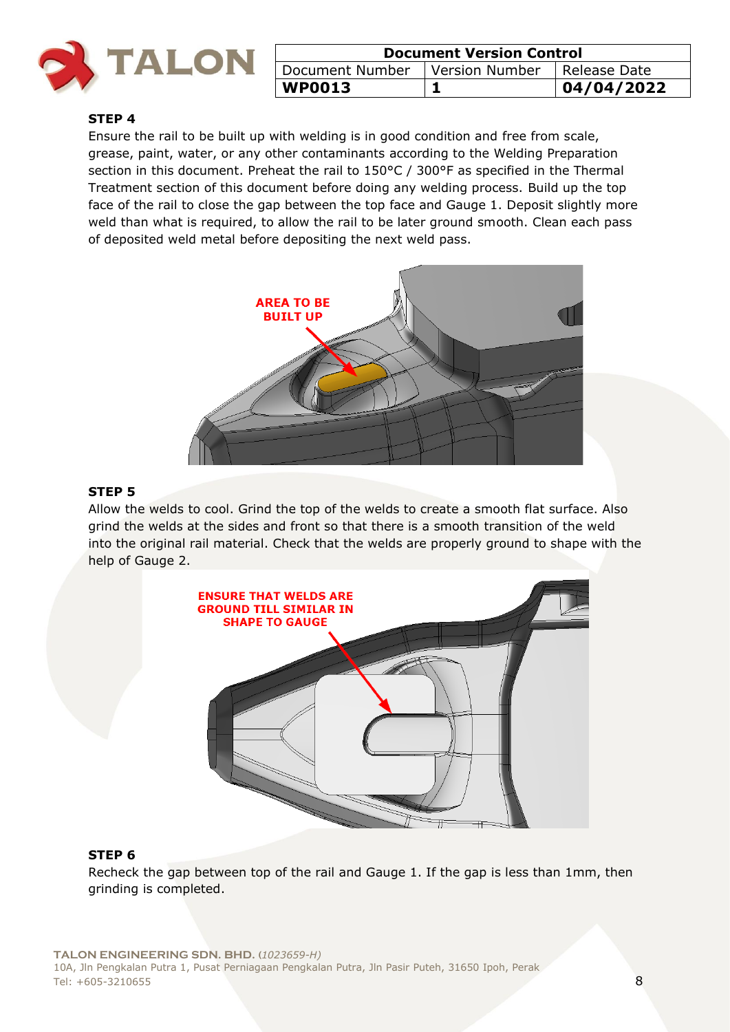

| <b>Document Version Control</b>  |  |                |
|----------------------------------|--|----------------|
| Document Number   Version Number |  | I Release Date |
| $ $ WP0013                       |  | 04/04/2022     |

#### **STEP 4**

Ensure the rail to be built up with welding is in good condition and free from scale, grease, paint, water, or any other contaminants according to the Welding Preparation section in this document. Preheat the rail to 150°C / 300°F as specified in the Thermal Treatment section of this document before doing any welding process. Build up the top face of the rail to close the gap between the top face and Gauge 1. Deposit slightly more weld than what is required, to allow the rail to be later ground smooth. Clean each pass of deposited weld metal before depositing the next weld pass.



#### **STEP 5**

Allow the welds to cool. Grind the top of the welds to create a smooth flat surface. Also grind the welds at the sides and front so that there is a smooth transition of the weld into the original rail material. Check that the welds are properly ground to shape with the help of Gauge 2.



#### **STEP 6**

Recheck the gap between top of the rail and Gauge 1. If the gap is less than 1mm, then grinding is completed.